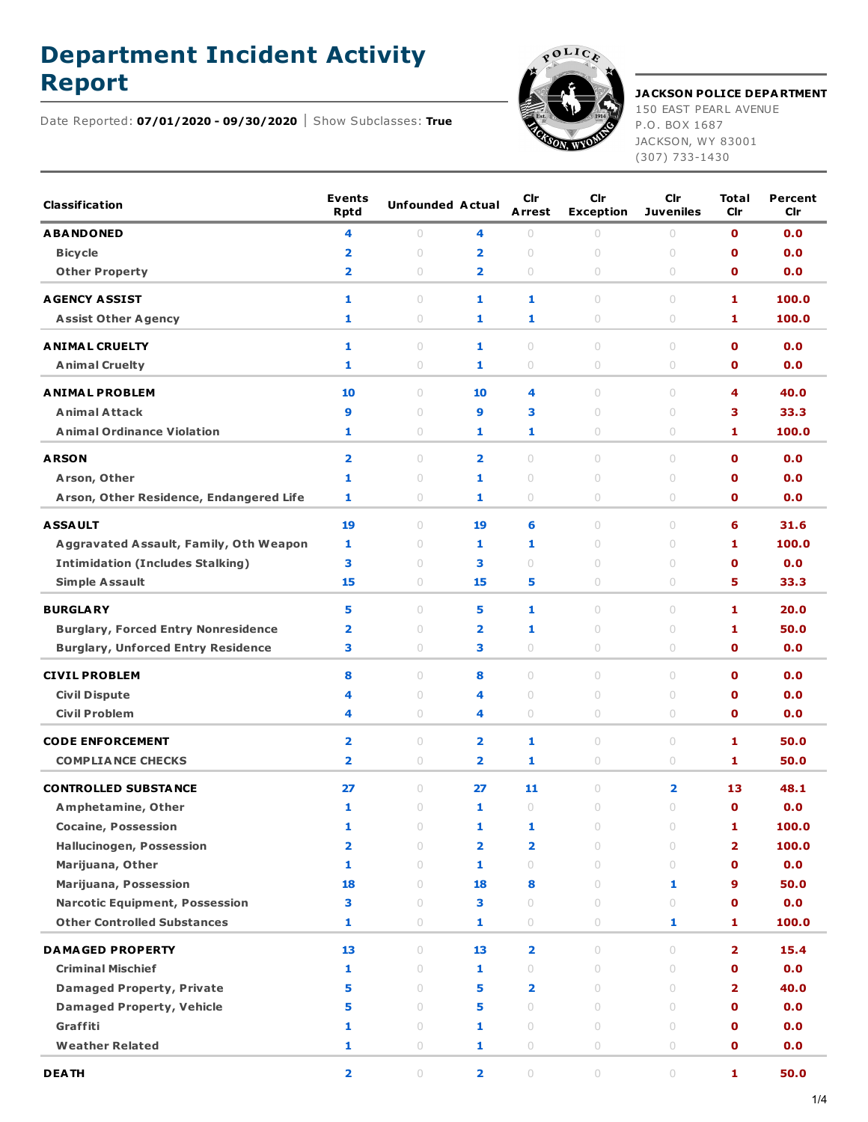## **Department Incident Activity**



**Report JACKSON POLICE DEPARTMENT** 150 EAST PEARL AVENUE

P.O. BOX 1687 JACKSON, WY 83001 (307) 733-1430

Date Reported: **07/01/2020 - 09/30/2020** Show Subclasses: **True**

| <b>Classification</b>                      | <b>Events</b><br><b>Rptd</b> | <b>Unfounded Actual</b> |                         | Cir<br><b>Arrest</b>             | Cir<br><b>Exception</b>          | Cir<br><b>Juveniles</b> | Total<br>Cir               | Percent<br>Cir |
|--------------------------------------------|------------------------------|-------------------------|-------------------------|----------------------------------|----------------------------------|-------------------------|----------------------------|----------------|
| <b>ABANDONED</b>                           | 4                            | $\circ$                 | 4                       | $\circ$                          | $\circ$                          | 0                       | $\mathbf 0$                | 0.0            |
| <b>Bicycle</b>                             | $\overline{\mathbf{2}}$      | $\circ$                 | $\overline{\mathbf{2}}$ | $\circ$                          | $\circ$                          | $\circ$                 | $\mathbf o$                | 0.0            |
| <b>Other Property</b>                      | $\overline{\mathbf{2}}$      | $\circ$                 | 2                       | $\circ$                          | 0                                | 0                       | $\mathbf 0$                | 0.0            |
| <b>AGENCY ASSIST</b>                       | 1                            | $\circ$                 | 1                       | 1                                | $\circ$                          | $\circ$                 | 1                          | 100.0          |
| <b>Assist Other Agency</b>                 | 1                            | 0                       | 1                       | 1                                | 0                                | 0                       | 1                          | 100.0          |
| <b>ANIMAL CRUELTY</b>                      | 1                            | $\circ$                 | 1                       | $\circ$                          | $\circ$                          | $\circ$                 | $\mathbf 0$                | 0.0            |
| <b>Animal Cruelty</b>                      | 1                            | 0                       | 1                       | $\circ$                          | $\circ$                          | 0                       | $\mathbf 0$                | 0.0            |
| <b>ANIMAL PROBLEM</b>                      | 10                           | $\circ$                 | 10                      | 4                                | $\cup$                           | 0                       | 4                          | 40.0           |
| <b>Animal Attack</b>                       | 9                            | $\circ$                 | 9                       | з                                | 0                                | $\circ$                 | 3                          | 33.3           |
| <b>Animal Ordinance Violation</b>          | 1                            | $\circ$                 | 1                       | 1                                | 0                                | 0                       | 1                          | 100.0          |
|                                            |                              |                         |                         |                                  |                                  |                         |                            |                |
| <b>ARSON</b>                               | $\overline{\mathbf{2}}$      | $\circ$                 | $\overline{\mathbf{2}}$ | $\circ$                          | $\circ$                          | $\circ$                 | $\mathbf 0$                | 0.0            |
| Arson, Other                               | 1<br>1                       | $\circ$<br>0            | 1<br>1                  | $\circ$<br>$\circ$               | 0<br>0                           | $\circ$                 | $\mathbf o$<br>$\mathbf 0$ | 0.0            |
| Arson, Other Residence, Endangered Life    |                              |                         |                         |                                  |                                  | 0                       |                            | 0.0            |
| <b>ASSAULT</b>                             | 19                           | $\circ$                 | 19                      | 6                                | $\begin{array}{c} \n\end{array}$ | 0                       | 6                          | 31.6           |
| Aggravated Assault, Family, Oth Weapon     | 1                            | $\circ$                 | 1                       | 1                                | 0                                | $\circ$                 | 1                          | 100.0          |
| <b>Intimidation (Includes Stalking)</b>    | 3                            | $\circ$                 | з                       | $\begin{array}{c} \n\end{array}$ | $\circ$                          | $\circ$                 | $\mathbf o$                | 0.0            |
| <b>Simple Assault</b>                      | 15                           | 0                       | 15                      | 5                                | 0                                | 0                       | 5.                         | 33.3           |
| <b>BURGLARY</b>                            | 5                            | $\circ$                 | 5                       | 1                                | $\begin{array}{c} \n\end{array}$ | 0                       | 1                          | 20.0           |
| <b>Burglary, Forced Entry Nonresidence</b> | $\overline{\mathbf{2}}$      | $\circ$                 | 2                       | 1                                | 0                                | $\circ$                 | 1                          | 50.0           |
| <b>Burglary, Unforced Entry Residence</b>  | з                            | $\circ$                 | з                       | $\circ$                          | 0                                | 0                       | $\mathbf 0$                | 0.0            |
| <b>CIVIL PROBLEM</b>                       | 8                            | $\circ$                 | 8                       | $\circ$                          | 0                                | 0                       | $\mathbf 0$                | 0.0            |
| <b>Civil Dispute</b>                       | 4                            | $\circ$                 | 4                       | $\circ$                          | $\circ$                          | $\circ$                 | $\mathbf o$                | 0.0            |
| <b>Civil Problem</b>                       | 4                            | 0                       | 4                       | $\circ$                          | 0                                | 0                       | $\mathbf 0$                | 0.0            |
| <b>CODE ENFORCEMENT</b>                    | $\overline{\mathbf{2}}$      | $\circ$                 | 2                       | 1                                | $\circ$                          | $\circ$                 | 1                          | 50.0           |
| <b>COMPLIANCE CHECKS</b>                   | $\overline{\mathbf{2}}$      | 0                       | 2                       | 1                                | 0                                | 0                       | 1                          | 50.0           |
|                                            |                              |                         |                         |                                  |                                  |                         |                            |                |
| <b>CONTROLLED SUBSTANCE</b>                | 27                           | $\circ$                 | 27                      | 11                               | $\circ$                          | $\overline{\mathbf{2}}$ | 13                         | 48.1           |
| Amphetamine, Other                         | 1                            | $\circ$                 | 1                       | $\circ$                          | 0                                | $\circ$                 | $\mathbf o$                | 0.0            |
| <b>Cocaine, Possession</b>                 | 1                            | $\circ$                 | 1                       | 1                                | 0                                | $\circ$                 | 1                          | 100.0          |
| <b>Hallucinogen, Possession</b>            | $\overline{2}$               | $\circ$                 | $\overline{\mathbf{2}}$ | 2                                | $\circ$                          | $\circ$                 | 2                          | 100.0          |
| Marijuana, Other                           | 1                            | $\circ$                 | 1                       | $\bigcirc$                       | $\circ$                          | $\circ$                 | $\mathbf 0$                | 0.0            |
| <b>Marijuana, Possession</b>               | 18                           | $\bigcirc$              | 18                      | 8                                | $\circ$                          | $\mathbf{1}$            | 9                          | 50.0           |
| <b>Narcotic Equipment, Possession</b>      | 3<br>1                       | $\circ$                 | 3                       | $\circ$                          | $\circ$                          | $\circ$                 | $\mathbf 0$                | 0.0            |
| <b>Other Controlled Substances</b>         |                              | 0                       | 1                       | $\circlearrowright$              | $\circ$                          | 1                       | 1                          | 100.0          |
| <b>DAMAGED PROPERTY</b>                    | 13                           | $\circ$                 | 13                      | $\overline{\mathbf{2}}$          | $\circ$                          | $\circ$                 | 2                          | 15.4           |
| <b>Criminal Mischief</b>                   | 1                            | $\bigcirc$              | 1                       | $\circlearrowright$              | $\circ$                          | $\bigcirc$              | $\mathbf 0$                | 0.0            |
| <b>Damaged Property, Private</b>           | 5                            | $\circ$                 | 5                       | 2                                | $\circ$                          | $\circ$                 | 2                          | 40.0           |
| <b>Damaged Property, Vehicle</b>           | 5                            | $\circ$                 | 5                       | $\circ$                          | $\circ$                          | $\circ$                 | $\mathbf 0$                | 0.0            |
| Graffiti                                   | 1                            | $\bigcirc$              | 1                       | $\circ$                          | $\circ$                          | $\circlearrowright$     | $\mathbf 0$                | 0.0            |
| <b>Weather Related</b>                     | 1                            | $\bigcirc$              | 1                       | $\circlearrowright$              | $\circlearrowright$              | $\circlearrowright$     | $\mathbf 0$                | 0.0            |
| <b>DEATH</b>                               | $\overline{\mathbf{2}}$      | $\bigcirc$              | $\overline{\mathbf{2}}$ | $\bigcirc$                       | $\circ$                          | $\circ$                 | 1                          | 50.0           |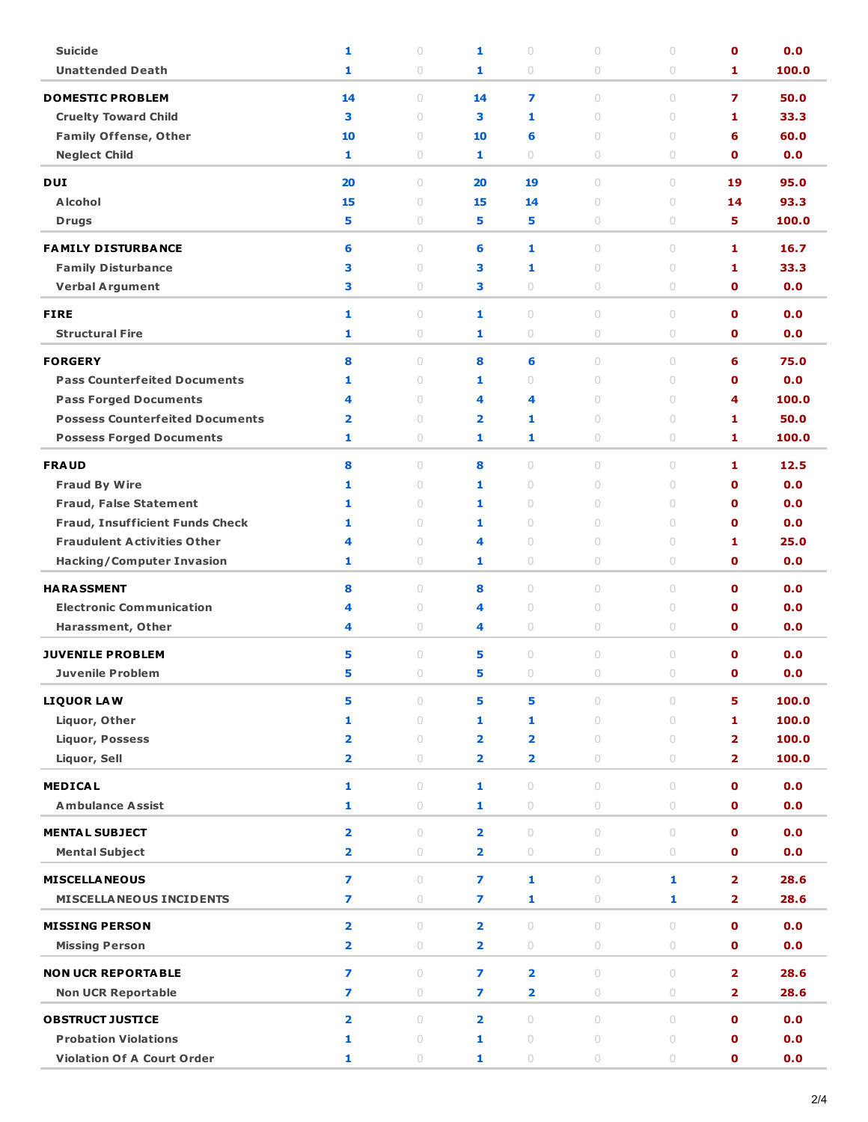| <b>Suicide</b>                         | 1                       | $\circ$             | 1                       | $\circ$                 | $\cup$                           | $\circ$            | $\mathbf 0$             | 0.0   |
|----------------------------------------|-------------------------|---------------------|-------------------------|-------------------------|----------------------------------|--------------------|-------------------------|-------|
| <b>Unattended Death</b>                | 1                       | $\circ$             | 1                       | $\circ$                 | 0                                | $\circ$            | 1.                      | 100.0 |
| <b>DOMESTIC PROBLEM</b>                | 14                      | $\circ$             | 14                      | 7                       | $\begin{array}{c} \n\end{array}$ | $\circ$            | 7                       | 50.0  |
| <b>Cruelty Toward Child</b>            | 3                       | $\circ$             | 3                       | 1                       | $\circ$                          | $\circ$            | 1                       | 33.3  |
| <b>Family Offense, Other</b>           | 10                      | $\circ$             | 10                      | 6                       | $\cup$                           | $\circ$            | 6                       | 60.0  |
| <b>Neglect Child</b>                   | 1.                      | $\circ$             | 1                       | $\circ$                 | 0                                | 0                  | 0                       | 0.0   |
| <b>DUI</b>                             |                         |                     |                         |                         | $\begin{array}{c} \n\end{array}$ |                    |                         | 95.0  |
| <b>Alcohol</b>                         | 20<br>15                | $\circ$<br>$\circ$  | 20<br>15                | 19<br>14                | $\circ$                          | $\circ$<br>$\circ$ | 19<br>14                | 93.3  |
| <b>Drugs</b>                           | 5                       | $\circ$             | 5                       | 5                       | 0                                | $\bigcirc$         | 5.                      | 100.0 |
|                                        |                         |                     |                         |                         |                                  |                    |                         |       |
| <b>FAMILY DISTURBANCE</b>              | 6                       | $\circ$             | 6                       | 1                       | $\bigcirc$                       | $\circ$            | 1                       | 16.7  |
| <b>Family Disturbance</b>              | 3                       | $\circ$             | 3                       | 1                       | $\cup$                           | $\circ$            | 1                       | 33.3  |
| <b>Verbal Argument</b>                 | 3                       | 0                   | з                       | $\circ$                 | 0                                | 0                  | 0                       | 0.0   |
| <b>FIRE</b>                            | 1                       | $\circ$             | 1                       | $\circ$                 | $\circ$                          | $\circ$            | $\mathbf 0$             | 0.0   |
| <b>Structural Fire</b>                 | 1                       | $\circ$             | 1                       | $\circ$                 | 0                                | $\circ$            | 0                       | 0.0   |
| <b>FORGERY</b>                         | 8                       | $\circ$             | 8                       | 6                       | $\circ$                          | $\circ$            | 6                       | 75.0  |
| <b>Pass Counterfeited Documents</b>    | 1                       | $\circ$             | 1                       | $\circ$                 | $\circ$                          | $\circ$            | $\mathbf 0$             | 0.0   |
| <b>Pass Forged Documents</b>           | 4                       | 0                   | 4                       | 4                       | $\circ$                          | $\circ$            | 4                       | 100.0 |
| <b>Possess Counterfeited Documents</b> | 2                       | $\circ$             | $\overline{\mathbf{2}}$ | 1                       | $\circ$                          | $\circ$            | 1                       | 50.0  |
| <b>Possess Forged Documents</b>        | 1                       | $\circ$             | 1                       | 1                       | 0                                | $\circ$            | 1                       | 100.0 |
|                                        |                         |                     |                         |                         |                                  |                    |                         |       |
| <b>FRAUD</b>                           | 8                       | $\circ$             | 8                       | $\circ$                 | $\circ$                          | $\circ$            | 1                       | 12.5  |
| <b>Fraud By Wire</b>                   | 1                       | $\circ$             | 1                       | $\circ$                 | $\circ$                          | $\circ$            | $\mathbf 0$             | 0.0   |
| <b>Fraud, False Statement</b>          | 1                       | $\circ$             | 1                       | $\circ$                 | $\begin{array}{c} \n\end{array}$ | $\circ$            | $\mathbf 0$             | 0.0   |
| <b>Fraud, Insufficient Funds Check</b> | 1                       | 0                   | 1                       | $\circ$                 | $\cup$                           | $\circ$            | O                       | 0.0   |
| <b>Fraudulent Activities Other</b>     | 4                       | $\circ$             | 4                       | $\circ$                 | $\circ$                          | $\circ$            | 1                       | 25.0  |
| <b>Hacking/Computer Invasion</b>       | 1                       | 0                   | 1                       | $\circ$                 | 0                                | $\bigcirc$         | 0                       | 0.0   |
| <b>HARASSMENT</b>                      | 8                       | $\circ$             | 8                       | $\circ$                 | $\bigcirc$                       | $\circ$            | $\mathbf 0$             | 0.0   |
| <b>Electronic Communication</b>        | 4                       | $\circ$             | 4                       | $\circ$                 | $\circ$                          | $\circ$            | $\mathbf o$             | 0.0   |
| Harassment, Other                      | 4                       | 0                   | 4                       | $\circ$                 | 0                                | 0                  | 0                       | 0.0   |
| <b>JUVENILE PROBLEM</b>                | 5                       | $\circ$             | 5                       | $\circ$                 | $\begin{array}{c} \n\end{array}$ | $\circ$            | $\mathbf{0}$            | 0.0   |
| <b>Juvenile Problem</b>                | 5                       | $\circ$             | 5                       | $\circ$                 | $\circ$                          | $\circ$            | $\mathbf{o}$            | 0.0   |
|                                        |                         |                     |                         |                         |                                  |                    |                         |       |
| <b>LIQUOR LAW</b>                      | 5                       | $\circ$             | 5                       | 5                       | $\circ$                          | $\circ$            | 5                       | 100.0 |
| Liquor, Other                          | 1                       | $\circ$             | 1                       | 1                       | $\circ$                          | $\circ$            | 1                       | 100.0 |
| <b>Liquor, Possess</b>                 | 2                       | $\circ$             | 2                       | $\overline{\mathbf{2}}$ | $\circ$                          | $\circ$            | $\overline{\mathbf{2}}$ | 100.0 |
| Liquor, Sell                           | 2                       | 0                   | $\overline{\mathbf{2}}$ | 2                       | 0                                | $\circ$            | $\overline{\mathbf{2}}$ | 100.0 |
| <b>MEDICAL</b>                         | 1                       | $\circ$             | 1                       | $\bigcirc$              | $\circ$                          | $\circ$            | $\mathbf 0$             | 0.0   |
| <b>Ambulance Assist</b>                | 1                       | $\circlearrowright$ | 1                       | $\bigcirc$              | $\bigcirc$                       | $\bigcirc$         | $\mathbf 0$             | 0.0   |
| <b>MENTAL SUBJECT</b>                  | 2                       | $\circ$             | $\overline{\mathbf{2}}$ | $\circ$                 | $\circ$                          | $\circ$            | $\mathbf{o}$            | 0.0   |
| <b>Mental Subject</b>                  | 2                       | $\circ$             | $\overline{\mathbf{2}}$ | 0                       | $\circlearrowright$              | $\circ$            | $\mathbf 0$             | 0.0   |
|                                        |                         |                     |                         |                         |                                  |                    |                         |       |
| <b>MISCELLA NEOUS</b>                  | $\overline{ }$          | $\circ$             | 7                       | 1                       | $\circ$                          | 1                  | $\overline{2}$          | 28.6  |
| <b>MISCELLA NEOUS INCIDENTS</b>        | 7                       | $\circlearrowright$ | 7                       | $\mathbf{1}$            | $\circlearrowright$              | 1                  | 2                       | 28.6  |
| <b>MISSING PERSON</b>                  | $\overline{\mathbf{2}}$ | $\circ$             | $\overline{\mathbf{2}}$ | $\bigcirc$              | $\circ$                          | $\circ$            | $\mathbf 0$             | 0.0   |
| <b>Missing Person</b>                  | 2                       | $\circ$             | $\overline{\mathbf{2}}$ | $\circ$                 | $\circlearrowright$              | $\circ$            | $\mathbf 0$             | 0.0   |
|                                        |                         |                     |                         |                         |                                  |                    |                         |       |
| <b>NON UCR REPORTABLE</b>              | $\overline{ }$          | $\circ$             | $\overline{ }$          | $\overline{\mathbf{2}}$ | $\circ$                          | $\circ$            | $\overline{2}$          | 28.6  |
| <b>Non UCR Reportable</b>              | $\overline{ }$          | $\circlearrowright$ | 7                       | $\overline{\mathbf{2}}$ | $\bigcirc$                       | $\bigcirc$         | $\overline{\mathbf{2}}$ | 28.6  |
| <b>OBSTRUCT JUSTICE</b>                | $\overline{\mathbf{2}}$ | $\circ$             | $\overline{\mathbf{2}}$ | $\circ$                 | $\circ$                          | $\circ$            | $\mathbf{o}$            | 0.0   |
| <b>Probation Violations</b>            | 1                       | $\bigcirc$          | 1                       | $\circlearrowright$     | $\circ$                          | $\bigcirc$         | $\mathbf 0$             | 0.0   |
| <b>Violation Of A Court Order</b>      | 1                       | $\circlearrowright$ | 1                       | $\circlearrowright$     | $\circ$                          | $\bigcirc$         | $\mathbf 0$             | 0.0   |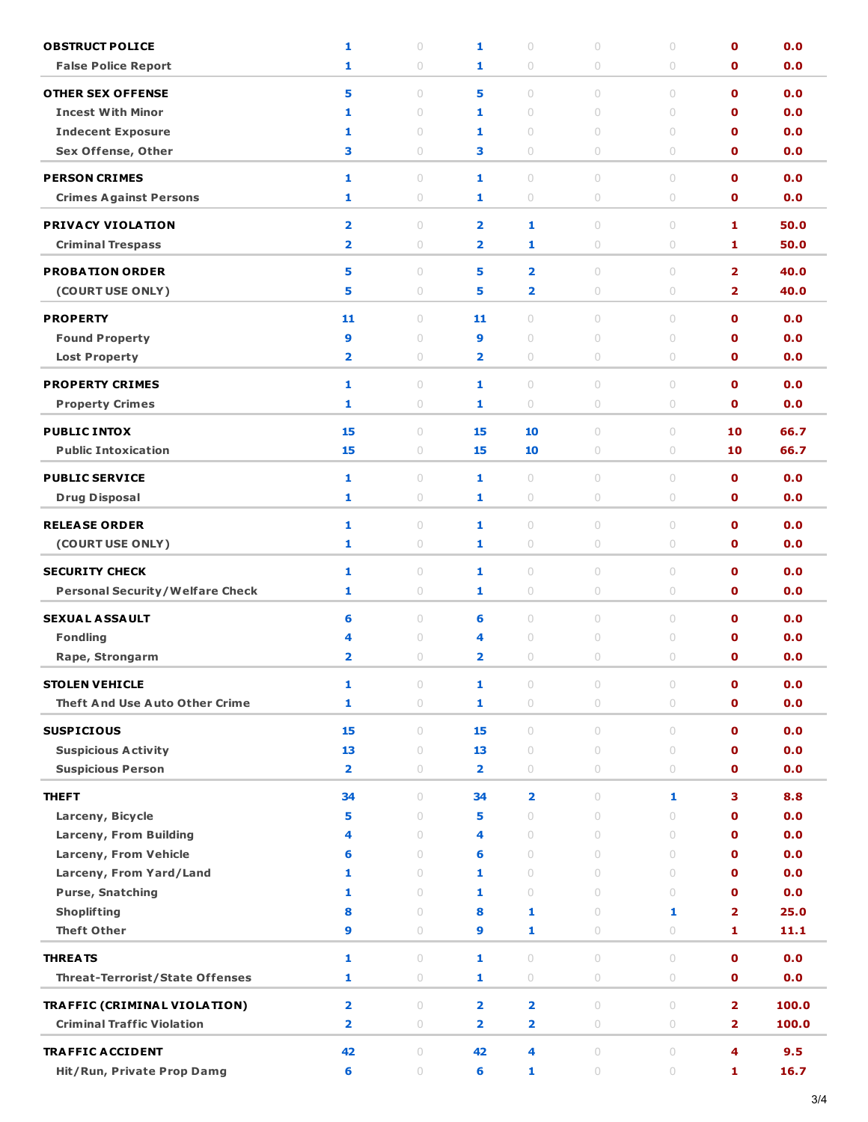| <b>OBSTRUCT POLICE</b>                          | 1                       | $\circ$             | 1                       | $\cup$                  | $\circ$                                    | $\circ$    | $\mathbf 0$                  | 0.0          |
|-------------------------------------------------|-------------------------|---------------------|-------------------------|-------------------------|--------------------------------------------|------------|------------------------------|--------------|
| <b>False Police Report</b>                      | 1                       | 0                   | 1                       | 0                       | $\circ$                                    | 0          | O                            | 0.0          |
| <b>OTHER SEX OFFENSE</b>                        | 5                       | $\circ$             | 5                       | $\circ$                 | $\circ$                                    | $\circ$    | $\mathbf 0$                  | 0.0          |
| <b>Incest With Minor</b>                        | 1                       | $\circ$             | 1                       | $\circ$                 | $\circ$                                    | $\circ$    | $\mathbf o$                  | 0.0          |
| <b>Indecent Exposure</b>                        | 1                       | $\circ$             | 1                       | $\circ$                 | $\circ$                                    | $\circ$    | O                            | 0.0          |
| Sex Offense, Other                              | 3                       | 0                   | 3                       | 0                       | $\circ$                                    | 0          | O                            | 0.0          |
| <b>PERSON CRIMES</b>                            | 1                       | $\circ$             | 1                       | $\circ$                 | $\circ$                                    | $\circ$    | $\mathbf 0$                  | 0.0          |
| <b>Crimes Against Persons</b>                   | 1                       | $\bigcirc$          | 1                       | $\bigcirc$              | $\circ$                                    | $\bigcirc$ | $\mathbf o$                  | 0.0          |
|                                                 |                         |                     |                         |                         |                                            |            |                              |              |
| <b>PRIVACY VIOLATION</b>                        | $\overline{\mathbf{2}}$ | $\circ$             | $\overline{\mathbf{2}}$ | 1                       | $\circ$                                    | $\circ$    | 1                            | 50.0         |
| <b>Criminal Trespass</b>                        | $\overline{\mathbf{2}}$ | 0                   | $\overline{\mathbf{2}}$ | 1                       | $\circlearrowright$                        | $\circ$    | 1                            | 50.0         |
| <b>PROBATION ORDER</b>                          | 5                       | $\circ$             | 5                       | $\overline{\mathbf{2}}$ | $\circ$                                    | $\circ$    | $\overline{2}$               | 40.0         |
| (COURT USE ONLY)                                | 5                       | 0                   | 5                       | $\overline{\mathbf{2}}$ | $\circlearrowright$                        | $\bigcirc$ | $\overline{\mathbf{2}}$      | 40.0         |
| <b>PROPERTY</b>                                 | 11                      | $\circ$             | 11                      | $\circ$                 | $\circ$                                    | $\circ$    | $\mathbf 0$                  | 0.0          |
| <b>Found Property</b>                           | 9                       | $\circ$             | 9                       | $\circ$                 | $\circ$                                    | $\circ$    | $\mathbf o$                  | 0.0          |
| <b>Lost Property</b>                            | $\overline{\mathbf{2}}$ | 0                   | $\overline{\mathbf{2}}$ | 0                       | $\circ$                                    | 0          | $\mathbf o$                  | 0.0          |
|                                                 |                         |                     |                         |                         |                                            |            |                              |              |
| <b>PROPERTY CRIMES</b>                          | 1                       | $\circ$             | 1                       | $\bigcirc$              | $\circ$                                    | $\circ$    | $\mathbf 0$                  | 0.0          |
| <b>Property Crimes</b>                          | 1                       | 0                   | 1                       | 0                       | $\circ$                                    | 0          | O                            | 0.0          |
| <b>PUBLIC INTOX</b>                             | 15                      | $\circ$             | 15                      | 10                      | $\circ$                                    | $\circ$    | 10                           | 66.7         |
| <b>Public Intoxication</b>                      | 15                      | 0                   | 15                      | 10                      | $\circ$                                    | 0          | 10                           | 66.7         |
| <b>PUBLIC SERVICE</b>                           | 1                       | $\circ$             | 1                       | $\circ$                 | $\circ$                                    | $\circ$    | $\mathbf o$                  | 0.0          |
| <b>Drug Disposal</b>                            | 1                       | 0                   | 1                       | 0                       | $\circ$                                    | 0          | O                            | 0.0          |
| <b>RELEASE ORDER</b>                            | 1                       | $\circ$             | 1                       | $\circ$                 | $\circ$                                    | $\circ$    | $\mathbf 0$                  | 0.0          |
| (COURT USE ONLY)                                | 1                       | 0                   | 1                       | 0                       | $\circlearrowright$                        | 0          | $\mathbf o$                  | 0.0          |
|                                                 |                         |                     |                         |                         |                                            |            |                              |              |
| <b>SECURITY CHECK</b>                           | 1                       | $\circ$             | 1                       | $\bigcirc$              | $\circ$                                    | $\circ$    | $\mathbf 0$                  | 0.0          |
| <b>Personal Security/Welfare Check</b>          | 1                       | 0                   | 1                       | 0                       | $\circ$                                    | 0          | $\mathbf o$                  | 0.0          |
| <b>SEXUAL ASSAULT</b>                           | 6                       | $\circ$             | 6                       | $\circ$                 | $\circ$                                    | $\circ$    | $\mathbf 0$                  | 0.0          |
| <b>Fondling</b>                                 | 4                       | $\circ$             | 4                       | $\circ$                 | $\circ$                                    | $\circ$    | $\mathbf 0$                  | 0.0          |
| Rape, Strongarm                                 | $\overline{\mathbf{2}}$ | $\circ$             | $\overline{\mathbf{2}}$ | $\circ$                 | $\circ$                                    | 0          | O                            | 0.0          |
| <b>STOLEN VEHICLE</b>                           | 1                       | $\bigcirc$          | 1                       | 0                       | $\circ$                                    | $\bigcirc$ | $\mathbf 0$                  | 0.0          |
| <b>Theft And Use Auto Other Crime</b>           | 1                       | $\circ$             | 1                       | $\bigcirc$              | $\circ$                                    | $\circ$    | 0                            | 0.0          |
|                                                 | 15                      | $\circ$             | 15                      | $\circ$                 | $\circ$                                    | $\circ$    | $\mathbf{o}$                 |              |
| <b>SUSPICIOUS</b><br><b>Suspicious Activity</b> | 13                      | $\bigcirc$          | 13                      | $\bigcirc$              | $\begin{array}{c} \n\end{array}$           | $\bigcirc$ | $\mathbf o$                  | 0.0<br>0.0   |
| <b>Suspicious Person</b>                        | $\overline{\mathbf{2}}$ | 0                   | 2                       | $\bigcirc$              | $\circlearrowright$                        | 0          | $\mathbf o$                  | 0.0          |
|                                                 |                         |                     |                         |                         |                                            |            |                              |              |
| <b>THEFT</b>                                    | 34                      | $\circ$             | 34                      | $\overline{\mathbf{2}}$ | $\circ$                                    | 1          | з                            | 8.8          |
| Larceny, Bicycle                                | 5                       | $\circ$             | 5                       | $\circ$                 | $\circ$                                    | $\circ$    | $\mathbf o$                  | 0.0          |
| Larceny, From Building                          | 4                       | $\circ$             | 4                       | $\circ$                 | $\circ$                                    | $\circ$    | $\mathbf o$                  | 0.0          |
| Larceny, From Vehicle                           | 6                       | $\circ$             | 6                       | $\circ$                 | $\circ$                                    | $\circ$    | $\mathbf 0$                  | 0.0          |
| Larceny, From Yard/Land                         | 1                       | $\circ$             | 1                       | $\circ$                 | $\begin{array}{c} \n\end{array}$           | $\circ$    | $\mathbf o$                  | 0.0          |
| <b>Purse, Snatching</b>                         | 1                       | $\circ$             | 1                       | $\circ$                 | $\circ$                                    | $\circ$    | $\mathbf o$                  | 0.0          |
| <b>Shoplifting</b><br><b>Theft Other</b>        | 8<br>9                  | $\bigcirc$          | 8<br>9                  | 1<br>1                  | $\circlearrowright$<br>$\circlearrowright$ | 1          | $\overline{\mathbf{2}}$<br>1 | 25.0<br>11.1 |
|                                                 |                         | 0                   |                         |                         |                                            | 0          |                              |              |
| <b>THREATS</b>                                  | 1                       | $\circ$             | 1                       | $\circ$                 | $\circ$                                    | $\circ$    | $\mathbf{o}$                 | 0.0          |
| <b>Threat-Terrorist/State Offenses</b>          | 1                       | $\circ$             | 1                       | $\bigcirc$              | $\circlearrowright$                        | $\bigcirc$ | $\mathbf 0$                  | 0.0          |
| TRAFFIC (CRIMINAL VIOLATION)                    | $\overline{\mathbf{2}}$ | $\circlearrowright$ | $\overline{\mathbf{2}}$ | $\overline{\mathbf{2}}$ | $\circ$                                    | $\circ$    | $\overline{\mathbf{2}}$      | 100.0        |
| <b>Criminal Traffic Violation</b>               | $\overline{\mathbf{2}}$ | $\circ$             | $\overline{\mathbf{2}}$ | $\overline{\mathbf{2}}$ | $\circlearrowright$                        | $\circ$    | $\overline{\mathbf{2}}$      | 100.0        |
| <b>TRAFFIC ACCIDENT</b>                         | 42                      | $\circ$             | 42                      | 4                       | $\circ$                                    | $\circ$    | 4                            | 9.5          |
| Hit/Run, Private Prop Damg                      | 6                       | $\circ$             | 6                       | 1                       | $\bigcirc$                                 | $\circ$    | 1                            | 16.7         |
|                                                 |                         |                     |                         |                         |                                            |            |                              |              |